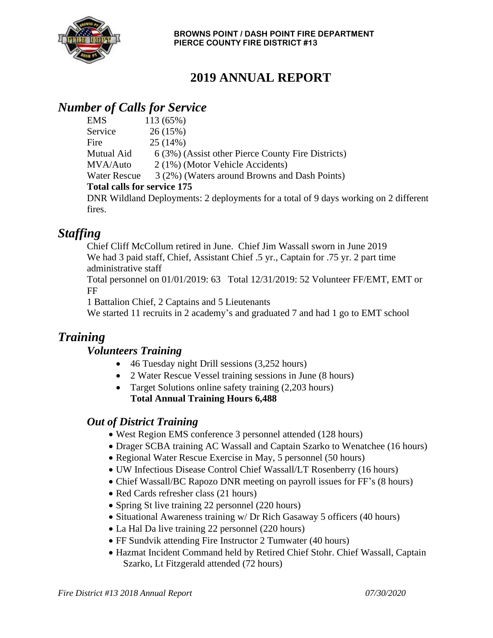

# **2019 ANNUAL REPORT**

## *Number of Calls for Service*

| <b>EMS</b>                         | 113 (65%)                                                                            |
|------------------------------------|--------------------------------------------------------------------------------------|
| Service                            | 26(15%)                                                                              |
| Fire                               | 25(14%)                                                                              |
| Mutual Aid                         | 6 (3%) (Assist other Pierce County Fire Districts)                                   |
| MVA/Auto                           | 2 (1%) (Motor Vehicle Accidents)                                                     |
| <b>Water Rescue</b>                | 3 (2%) (Waters around Browns and Dash Points)                                        |
| <b>Total calls for service 175</b> |                                                                                      |
|                                    | DNR Wildland Deployments: 2 deployments for a total of 9 days working on 2 different |
| fires                              |                                                                                      |

## *Staffing*

Chief Cliff McCollum retired in June. Chief Jim Wassall sworn in June 2019 We had 3 paid staff, Chief, Assistant Chief .5 yr., Captain for .75 yr. 2 part time administrative staff

Total personnel on 01/01/2019: 63 Total 12/31/2019: 52 Volunteer FF/EMT, EMT or FF

1 Battalion Chief, 2 Captains and 5 Lieutenants

We started 11 recruits in 2 academy's and graduated 7 and had 1 go to EMT school

### *Training*

#### *Volunteers Training*

- 46 Tuesday night Drill sessions (3,252 hours)
- 2 Water Rescue Vessel training sessions in June (8 hours)
- Target Solutions online safety training (2,203 hours) **Total Annual Training Hours 6,488**

### *Out of District Training*

- West Region EMS conference 3 personnel attended (128 hours)
- Drager SCBA training AC Wassall and Captain Szarko to Wenatchee (16 hours)
- Regional Water Rescue Exercise in May, 5 personnel (50 hours)
- UW Infectious Disease Control Chief Wassall/LT Rosenberry (16 hours)
- Chief Wassall/BC Rapozo DNR meeting on payroll issues for FF's (8 hours)
- Red Cards refresher class (21 hours)
- Spring St live training 22 personnel (220 hours)
- Situational Awareness training w/ Dr Rich Gasaway 5 officers (40 hours)
- La Hal Da live training 22 personnel (220 hours)
- FF Sundvik attending Fire Instructor 2 Tumwater (40 hours)
- Hazmat Incident Command held by Retired Chief Stohr. Chief Wassall, Captain Szarko, Lt Fitzgerald attended (72 hours)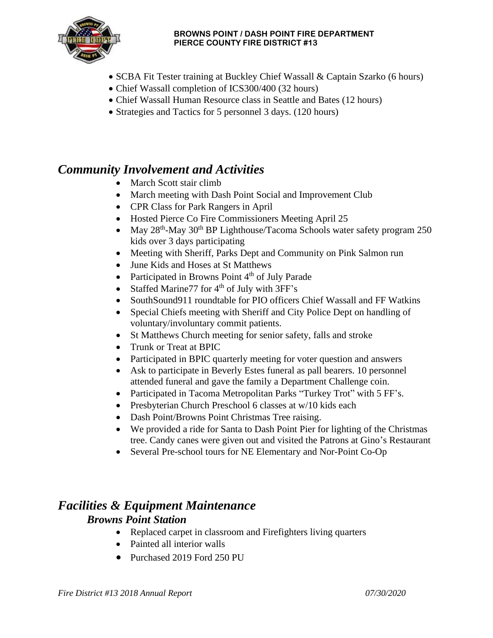

#### **BROWNS POINT / DASH POINT FIRE DEPARTMENT PIERCE COUNTY FIRE DISTRICT #13**

- SCBA Fit Tester training at Buckley Chief Wassall & Captain Szarko (6 hours)
- Chief Wassall completion of ICS300/400 (32 hours)
- Chief Wassall Human Resource class in Seattle and Bates (12 hours)
- Strategies and Tactics for 5 personnel 3 days. (120 hours)

### *Community Involvement and Activities*

- March Scott stair climb
- March meeting with Dash Point Social and Improvement Club
- CPR Class for Park Rangers in April
- Hosted Pierce Co Fire Commissioners Meeting April 25
- May  $28<sup>th</sup>$ -May  $30<sup>th</sup>$  BP Lighthouse/Tacoma Schools water safety program 250 kids over 3 days participating
- Meeting with Sheriff, Parks Dept and Community on Pink Salmon run
- June Kids and Hoses at St Matthews
- Participated in Browns Point  $4<sup>th</sup>$  of July Parade
- Staffed Marine 77 for  $4<sup>th</sup>$  of July with 3FF's
- SouthSound911 roundtable for PIO officers Chief Wassall and FF Watkins
- Special Chiefs meeting with Sheriff and City Police Dept on handling of voluntary/involuntary commit patients.
- St Matthews Church meeting for senior safety, falls and stroke
- Trunk or Treat at BPIC
- Participated in BPIC quarterly meeting for voter question and answers
- Ask to participate in Beverly Estes funeral as pall bearers. 10 personnel attended funeral and gave the family a Department Challenge coin.
- Participated in Tacoma Metropolitan Parks "Turkey Trot" with 5 FF's.
- Presbyterian Church Preschool 6 classes at w/10 kids each
- Dash Point/Browns Point Christmas Tree raising.
- We provided a ride for Santa to Dash Point Pier for lighting of the Christmas tree. Candy canes were given out and visited the Patrons at Gino's Restaurant
- Several Pre-school tours for NE Elementary and Nor-Point Co-Op

#### *Facilities & Equipment Maintenance Browns Point Station*

- Replaced carpet in classroom and Firefighters living quarters
- Painted all interior walls
- Purchased 2019 Ford 250 PU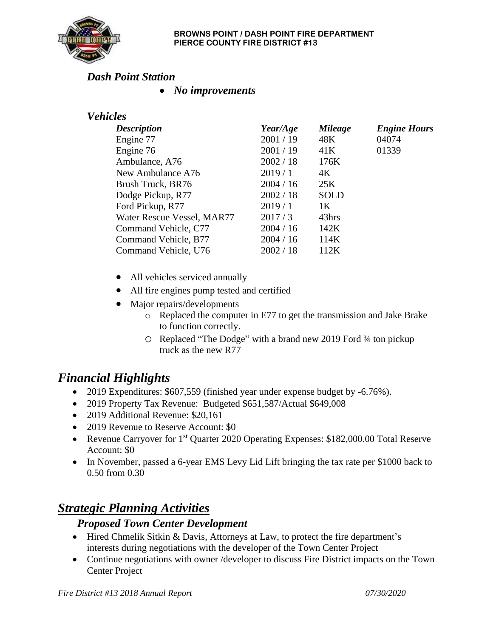

#### *Dash Point Station*

• *No improvements*

### *Vehicles*

| <b>Description</b>         | Year/Age  | <b>Mileage</b> | <b>Engine Hours</b> |
|----------------------------|-----------|----------------|---------------------|
| Engine 77                  | 2001/19   | 48K            | 04074               |
| Engine 76                  | 2001/19   | 41K            | 01339               |
| Ambulance, A76             | 2002 / 18 | 176K           |                     |
| New Ambulance A76          | 2019/1    | 4K             |                     |
| Brush Truck, BR76          | 2004/16   | 25K            |                     |
| Dodge Pickup, R77          | 2002 / 18 | <b>SOLD</b>    |                     |
| Ford Pickup, R77           | 2019/1    | 1K             |                     |
| Water Rescue Vessel, MAR77 | 2017/3    | 43hrs          |                     |
| Command Vehicle, C77       | 2004 / 16 | 142K           |                     |
| Command Vehicle, B77       | 2004 / 16 | 114K           |                     |
| Command Vehicle, U76       | 2002 / 18 | 112K           |                     |

- All vehicles serviced annually
- All fire engines pump tested and certified
- Major repairs/developments
	- o Replaced the computer in E77 to get the transmission and Jake Brake to function correctly.
	- o Replaced "The Dodge" with a brand new 2019 Ford ¾ ton pickup truck as the new R77

## *Financial Highlights*

- 2019 Expenditures: \$607,559 (finished year under expense budget by -6.76%).
- 2019 Property Tax Revenue: Budgeted \$651,587/Actual \$649,008
- 2019 Additional Revenue: \$20,161
- 2019 Revenue to Reserve Account: \$0
- Revenue Carryover for 1<sup>st</sup> Quarter 2020 Operating Expenses: \$182,000.00 Total Reserve Account: \$0
- In November, passed a 6-year EMS Levy Lid Lift bringing the tax rate per \$1000 back to 0.50 from 0.30

## *Strategic Planning Activities*

#### *Proposed Town Center Development*

- Hired Chmelik Sitkin & Davis, Attorneys at Law, to protect the fire department's interests during negotiations with the developer of the Town Center Project
- Continue negotiations with owner /developer to discuss Fire District impacts on the Town Center Project